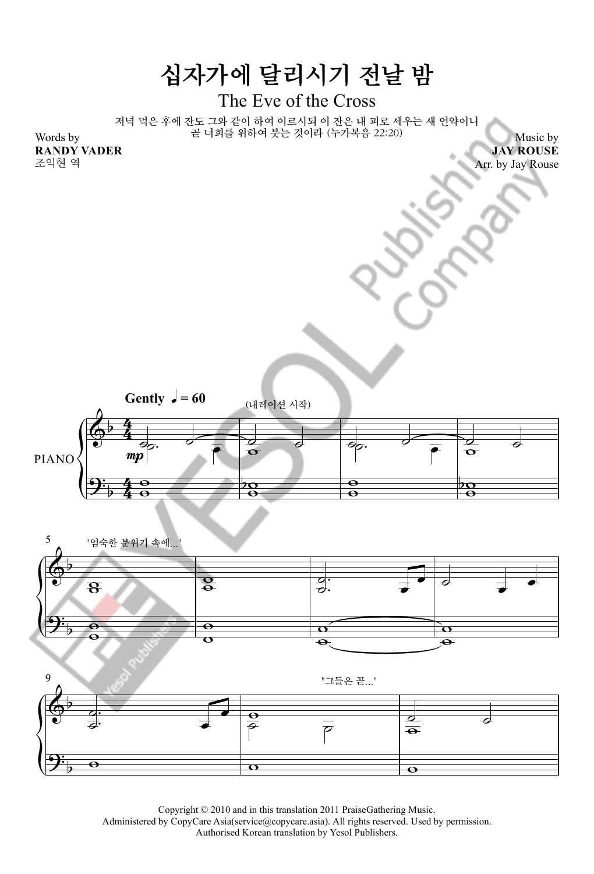

Copyright © 2010 and in this translation 2011 PraiseGathering Music.

Administered by CopyCare Asia(service@copycare.asia). All rights reserved. Used by permission.

Authorised Korean translation by Yesol Publishers.